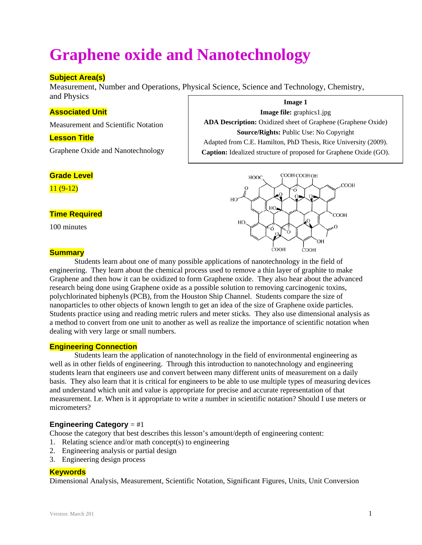# **Graphene oxide and Nanotechnology**

## **Subject Area(s)**

Measurement, Number and Operations, Physical Science, Science and Technology, Chemistry, and Physics

## **Associated Unit**

Measurement and Scientific Notation

#### **Lesson Title**

Graphene Oxide and Nanotechnology

#### **Grade Level**

11 (9-12)

## **Time Required**

100 minutes

#### **Summary**

Students learn about one of many possible applications of nanotechnology in the field of engineering. They learn about the chemical process used to remove a thin layer of graphite to make Graphene and then how it can be oxidized to form Graphene oxide. They also hear about the advanced research being done using Graphene oxide as a possible solution to removing carcinogenic toxins, polychlorinated biphenyls (PCB), from the Houston Ship Channel. Students compare the size of nanoparticles to other objects of known length to get an idea of the size of Graphene oxide particles. Students practice using and reading metric rulers and meter sticks. They also use dimensional analysis as a method to convert from one unit to another as well as realize the importance of scientific notation when dealing with very large or small numbers.

#### **Engineering Connection**

Students learn the application of nanotechnology in the field of environmental engineering as well as in other fields of engineering. Through this introduction to nanotechnology and engineering students learn that engineers use and convert between many different units of measurement on a daily basis. They also learn that it is critical for engineers to be able to use multiple types of measuring devices and understand which unit and value is appropriate for precise and accurate representation of that measurement. I.e. When is it appropriate to write a number in scientific notation? Should I use meters or micrometers?

### **Engineering Category** = #1

Choose the category that best describes this lesson's amount/depth of engineering content:

- 1. Relating science and/or math concept(s) to engineering
- 2. Engineering analysis or partial design
- 3. Engineering design process

#### **Keywords**

Dimensional Analysis, Measurement, Scientific Notation, Significant Figures, Units, Unit Conversion

**Image 1 Image file:** graphics1.jpg **ADA Description:** Oxidized sheet of Graphene (Graphene Oxide) **Source/Rights:** Public Use: No Copyright Adapted from C.E. Hamilton, PhD Thesis, Rice University (2009). **Caption:** Idealized structure of proposed for Graphene Oxide (GO).

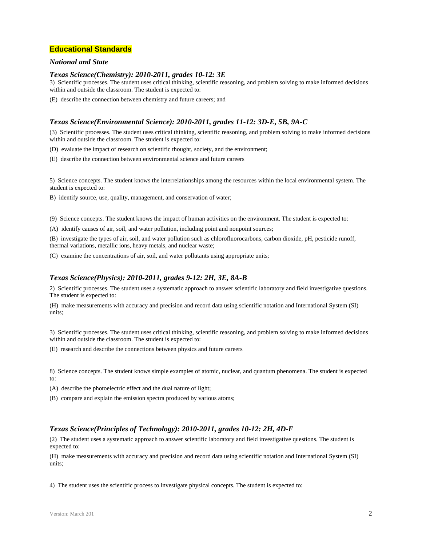#### **Educational Standards**

#### *National and State*

#### *Texas Science(Chemistry): 2010-2011, grades 10-12: 3E*

3) Scientific processes. The student uses critical thinking, scientific reasoning, and problem solving to make informed decisions within and outside the classroom. The student is expected to:

(E) describe the connection between chemistry and future careers; and

#### *Texas Science(Environmental Science): 2010-2011, grades 11-12: 3D-E, 5B, 9A-C*

(3) Scientific processes. The student uses critical thinking, scientific reasoning, and problem solving to make informed decisions within and outside the classroom. The student is expected to:

(D) evaluate the impact of research on scientific thought, society, and the environment;

(E) describe the connection between environmental science and future careers

5) Science concepts. The student knows the interrelationships among the resources within the local environmental system. The student is expected to:

B) identify source, use, quality, management, and conservation of water;

(9) Science concepts. The student knows the impact of human activities on the environment. The student is expected to:

(A) identify causes of air, soil, and water pollution, including point and nonpoint sources;

(B) investigate the types of air, soil, and water pollution such as chlorofluorocarbons, carbon dioxide, pH, pesticide runoff, thermal variations, metallic ions, heavy metals, and nuclear waste;

(C) examine the concentrations of air, soil, and water pollutants using appropriate units;

#### *Texas Science(Physics): 2010-2011, grades 9-12: 2H, 3E, 8A-B*

2) Scientific processes. The student uses a systematic approach to answer scientific laboratory and field investigative questions. The student is expected to:

(H) make measurements with accuracy and precision and record data using scientific notation and International System (SI) units;

3) Scientific processes. The student uses critical thinking, scientific reasoning, and problem solving to make informed decisions within and outside the classroom. The student is expected to:

(E) research and describe the connections between physics and future careers

8) Science concepts. The student knows simple examples of atomic, nuclear, and quantum phenomena. The student is expected to:

(A) describe the photoelectric effect and the dual nature of light;

(B) compare and explain the emission spectra produced by various atoms;

#### *Texas Science(Principles of Technology): 2010-2011, grades 10-12: 2H, 4D-F*

(2) The student uses a systematic approach to answer scientific laboratory and field investigative questions. The student is expected to:

(H) make measurements with accuracy and precision and record data using scientific notation and International System (SI) units;

4) The student uses the scientific process to investigate physical concepts. The student is expected to: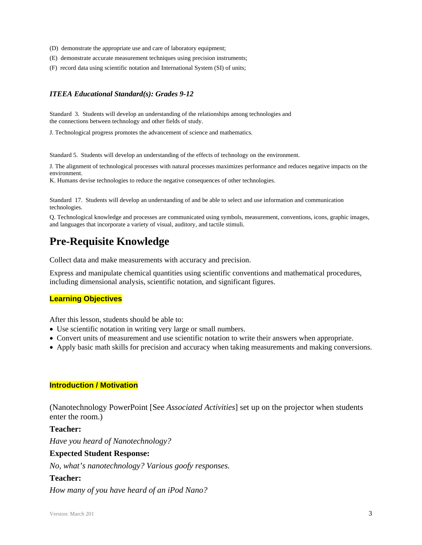- (D) demonstrate the appropriate use and care of laboratory equipment;
- (E) demonstrate accurate measurement techniques using precision instruments;
- (F) record data using scientific notation and International System (SI) of units;

#### *ITEEA Educational Standard(s): Grades 9-12*

Standard 3. Students will develop an understanding of the relationships among technologies and the connections between technology and other fields of study.

J. Technological progress promotes the advancement of science and mathematics.

Standard 5. Students will develop an understanding of the effects of technology on the environment.

J. The alignment of technological processes with natural processes maximizes performance and reduces negative impacts on the environment.

K. Humans devise technologies to reduce the negative consequences of other technologies.

Standard 17. Students will develop an understanding of and be able to select and use information and communication technologies.

Q. Technological knowledge and processes are communicated using symbols, measurement, conventions, icons, graphic images, and languages that incorporate a variety of visual, auditory, and tactile stimuli.

## **Pre-Requisite Knowledge**

Collect data and make measurements with accuracy and precision.

Express and manipulate chemical quantities using scientific conventions and mathematical procedures, including dimensional analysis, scientific notation, and significant figures.

#### **Learning Objectives**

After this lesson, students should be able to:

- Use scientific notation in writing very large or small numbers.
- Convert units of measurement and use scientific notation to write their answers when appropriate.
- Apply basic math skills for precision and accuracy when taking measurements and making conversions.

#### **Introduction / Motivation**

(Nanotechnology PowerPoint [See *Associated Activities*] set up on the projector when students enter the room.)

#### **Teacher:**

*Have you heard of Nanotechnology?* 

## **Expected Student Response:**

*No, what's nanotechnology? Various goofy responses.* 

#### **Teacher:**

*How many of you have heard of an iPod Nano?*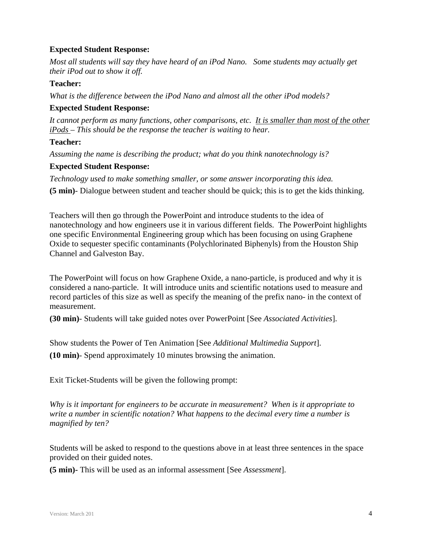## **Expected Student Response:**

*Most all students will say they have heard of an iPod Nano. Some students may actually get their iPod out to show it off.* 

## **Teacher:**

*What is the difference between the iPod Nano and almost all the other iPod models?* 

## **Expected Student Response:**

*It cannot perform as many functions, other comparisons, etc. It is smaller than most of the other iPods* – *This should be the response the teacher is waiting to hear.* 

## **Teacher:**

*Assuming the name is describing the product; what do you think nanotechnology is?* 

## **Expected Student Response:**

*Technology used to make something smaller, or some answer incorporating this idea.*  **(5 min)**- Dialogue between student and teacher should be quick; this is to get the kids thinking.

Teachers will then go through the PowerPoint and introduce students to the idea of nanotechnology and how engineers use it in various different fields. The PowerPoint highlights one specific Environmental Engineering group which has been focusing on using Graphene Oxide to sequester specific contaminants (Polychlorinated Biphenyls) from the Houston Ship Channel and Galveston Bay.

The PowerPoint will focus on how Graphene Oxide, a nano-particle, is produced and why it is considered a nano-particle. It will introduce units and scientific notations used to measure and record particles of this size as well as specify the meaning of the prefix nano- in the context of measurement.

**(30 min)**- Students will take guided notes over PowerPoint [See *Associated Activities*].

Show students the Power of Ten Animation [See *Additional Multimedia Support*]. **(10 min)**- Spend approximately 10 minutes browsing the animation.

Exit Ticket-Students will be given the following prompt:

*Why is it important for engineers to be accurate in measurement? When is it appropriate to write a number in scientific notation? What happens to the decimal every time a number is magnified by ten?* 

Students will be asked to respond to the questions above in at least three sentences in the space provided on their guided notes.

**(5 min)-** This will be used as an informal assessment [See *Assessment*].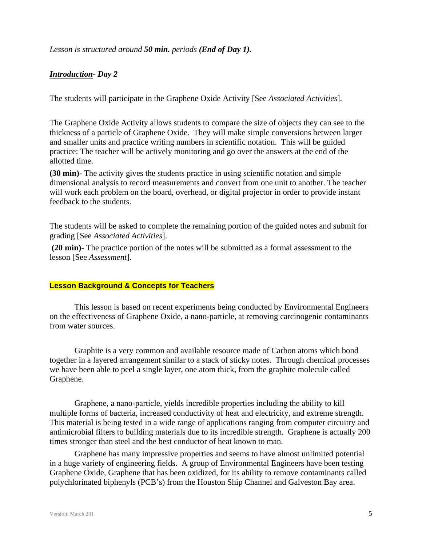## *Lesson is structured around 50 min. periods (End of Day 1).*

## *Introduction- Day 2*

The students will participate in the Graphene Oxide Activity [See *Associated Activities*].

The Graphene Oxide Activity allows students to compare the size of objects they can see to the thickness of a particle of Graphene Oxide. They will make simple conversions between larger and smaller units and practice writing numbers in scientific notation. This will be guided practice: The teacher will be actively monitoring and go over the answers at the end of the allotted time.

**(30 min)-** The activity gives the students practice in using scientific notation and simple dimensional analysis to record measurements and convert from one unit to another. The teacher will work each problem on the board, overhead, or digital projector in order to provide instant feedback to the students.

The students will be asked to complete the remaining portion of the guided notes and submit for grading [See *Associated Activities*].

**(20 min)-** The practice portion of the notes will be submitted as a formal assessment to the lesson [See *Assessment*].

#### **Lesson Background & Concepts for Teachers**

This lesson is based on recent experiments being conducted by Environmental Engineers on the effectiveness of Graphene Oxide, a nano-particle, at removing carcinogenic contaminants from water sources.

Graphite is a very common and available resource made of Carbon atoms which bond together in a layered arrangement similar to a stack of sticky notes. Through chemical processes we have been able to peel a single layer, one atom thick, from the graphite molecule called Graphene.

Graphene, a nano-particle, yields incredible properties including the ability to kill multiple forms of bacteria, increased conductivity of heat and electricity, and extreme strength. This material is being tested in a wide range of applications ranging from computer circuitry and antimicrobial filters to building materials due to its incredible strength. Graphene is actually 200 times stronger than steel and the best conductor of heat known to man.

Graphene has many impressive properties and seems to have almost unlimited potential in a huge variety of engineering fields. A group of Environmental Engineers have been testing Graphene Oxide, Graphene that has been oxidized, for its ability to remove contaminants called polychlorinated biphenyls (PCB's) from the Houston Ship Channel and Galveston Bay area.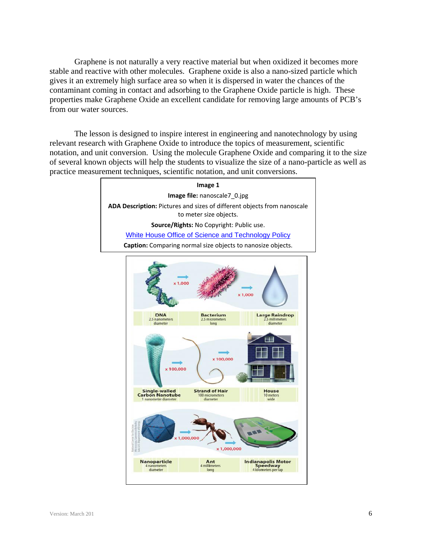Graphene is not naturally a very reactive material but when oxidized it becomes more stable and reactive with other molecules. Graphene oxide is also a nano-sized particle which gives it an extremely high surface area so when it is dispersed in water the chances of the contaminant coming in contact and adsorbing to the Graphene Oxide particle is high. These properties make Graphene Oxide an excellent candidate for removing large amounts of PCB's from our water sources.

 The lesson is designed to inspire interest in engineering and nanotechnology by using relevant research with Graphene Oxide to introduce the topics of measurement, scientific notation, and unit conversion. Using the molecule Graphene Oxide and comparing it to the size of several known objects will help the students to visualize the size of a nano-particle as well as practice measurement techniques, scientific notation, and unit conversions.